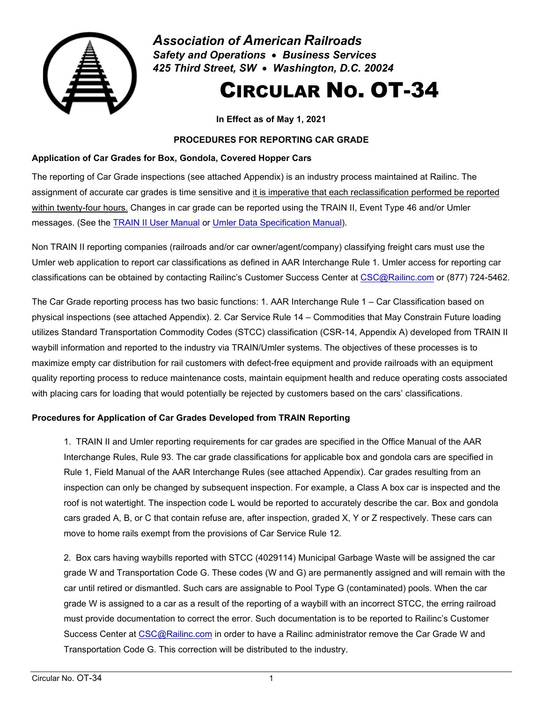

*Association of American Railroads Safety and Operations* • *Business Services 425 Third Street, SW* • *Washington, D.C. 20024*

# CIRCULAR NO. OT-34

**In Effect as of May 1, 2021** 

## **PROCEDURES FOR REPORTING CAR GRADE**

## **Application of Car Grades for Box, Gondola, Covered Hopper Cars**

The reporting of Car Grade inspections (see attached Appendix) is an industry process maintained at Railinc. The assignment of accurate car grades is time sensitive and it is imperative that each reclassification performed be reported within twenty-four hours. Changes in car grade can be reported using the TRAIN II, Event Type 46 and/or Umler messages. (See the [TRAIN II User Manual](https://public.railinc.com/sites/default/files/documents/TrainII.pdf) or [Umler Data Specification Manual\)](https://public.railinc.com/sites/default/files/documents/UmlerDataSpecs.pdf).

Non TRAIN II reporting companies (railroads and/or car owner/agent/company) classifying freight cars must use the Umler web application to report car classifications as defined in AAR Interchange Rule 1. Umler access for reporting car classifications can be obtained by contacting Railinc's Customer Success Center at [CSC@Railinc.com](mailto:CSC@Railinc.com) or (877) 724-5462.

The Car Grade reporting process has two basic functions: 1. AAR Interchange Rule 1 – Car Classification based on physical inspections (see attached Appendix). 2. Car Service Rule 14 – Commodities that May Constrain Future loading utilizes Standard Transportation Commodity Codes (STCC) classification (CSR-14, Appendix A) developed from TRAIN II waybill information and reported to the industry via TRAIN/Umler systems. The objectives of these processes is to maximize empty car distribution for rail customers with defect-free equipment and provide railroads with an equipment quality reporting process to reduce maintenance costs, maintain equipment health and reduce operating costs associated with placing cars for loading that would potentially be rejected by customers based on the cars' classifications.

# **Procedures for Application of Car Grades Developed from TRAIN Reporting**

1. TRAIN II and Umler reporting requirements for car grades are specified in the Office Manual of the AAR Interchange Rules, Rule 93. The car grade classifications for applicable box and gondola cars are specified in Rule 1, Field Manual of the AAR Interchange Rules (see attached Appendix). Car grades resulting from an inspection can only be changed by subsequent inspection. For example, a Class A box car is inspected and the roof is not watertight. The inspection code L would be reported to accurately describe the car. Box and gondola cars graded A, B, or C that contain refuse are, after inspection, graded X, Y or Z respectively. These cars can move to home rails exempt from the provisions of Car Service Rule 12.

2. Box cars having waybills reported with STCC (4029114) Municipal Garbage Waste will be assigned the car grade W and Transportation Code G. These codes (W and G) are permanently assigned and will remain with the car until retired or dismantled. Such cars are assignable to Pool Type G (contaminated) pools. When the car grade W is assigned to a car as a result of the reporting of a waybill with an incorrect STCC, the erring railroad must provide documentation to correct the error. Such documentation is to be reported to Railinc's Customer Success Center at [CSC@Railinc.com](mailto:CSC@Railinc.com) in order to have a Railinc administrator remove the Car Grade W and Transportation Code G. This correction will be distributed to the industry.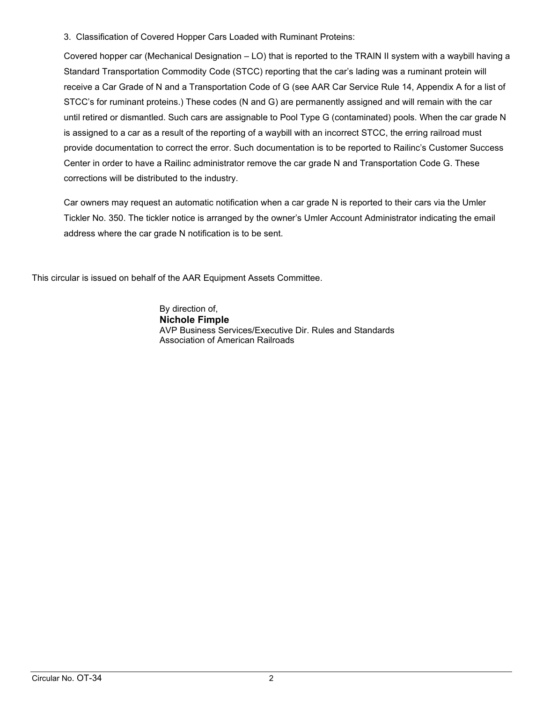3. Classification of Covered Hopper Cars Loaded with Ruminant Proteins:

Covered hopper car (Mechanical Designation – LO) that is reported to the TRAIN II system with a waybill having a Standard Transportation Commodity Code (STCC) reporting that the car's lading was a ruminant protein will receive a Car Grade of N and a Transportation Code of G (see AAR Car Service Rule 14, Appendix A for a list of STCC's for ruminant proteins.) These codes (N and G) are permanently assigned and will remain with the car until retired or dismantled. Such cars are assignable to Pool Type G (contaminated) pools. When the car grade N is assigned to a car as a result of the reporting of a waybill with an incorrect STCC, the erring railroad must provide documentation to correct the error. Such documentation is to be reported to Railinc's Customer Success Center in order to have a Railinc administrator remove the car grade N and Transportation Code G. These corrections will be distributed to the industry.

Car owners may request an automatic notification when a car grade N is reported to their cars via the Umler Tickler No. 350. The tickler notice is arranged by the owner's Umler Account Administrator indicating the email address where the car grade N notification is to be sent.

This circular is issued on behalf of the AAR Equipment Assets Committee.

By direction of, **Nichole Fimple**  AVP Business Services/Executive Dir. Rules and Standards Association of American Railroads